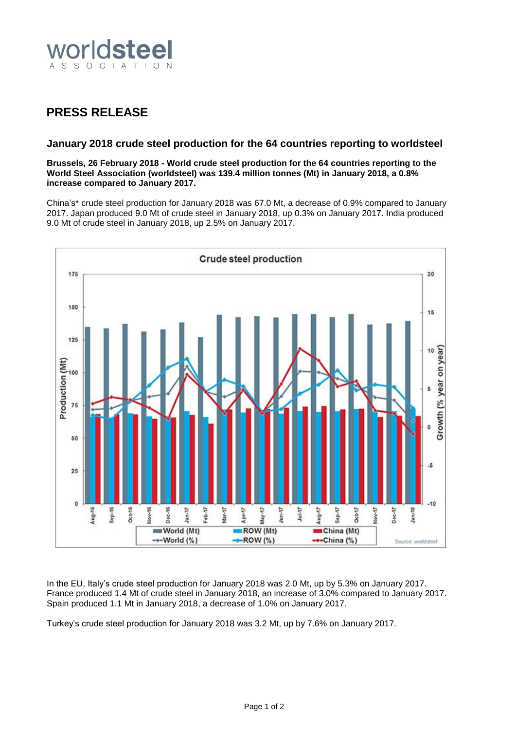

## **PRESS RELEASE**

## **January 2018 crude steel production for the 64 countries reporting to worldsteel**

**Brussels, 26 February 2018 - World crude steel production for the 64 countries reporting to the World Steel Association (worldsteel) was 139.4 million tonnes (Mt) in January 2018, a 0.8% increase compared to January 2017.**

China's\* crude steel production for January 2018 was 67.0 Mt, a decrease of 0.9% compared to January 2017. Japan produced 9.0 Mt of crude steel in January 2018, up 0.3% on January 2017. India produced 9.0 Mt of crude steel in January 2018, up 2.5% on January 2017.



In the EU, Italy's crude steel production for January 2018 was 2.0 Mt, up by 5.3% on January 2017. France produced 1.4 Mt of crude steel in January 2018, an increase of 3.0% compared to January 2017. Spain produced 1.1 Mt in January 2018, a decrease of 1.0% on January 2017.

Turkey's crude steel production for January 2018 was 3.2 Mt, up by 7.6% on January 2017.